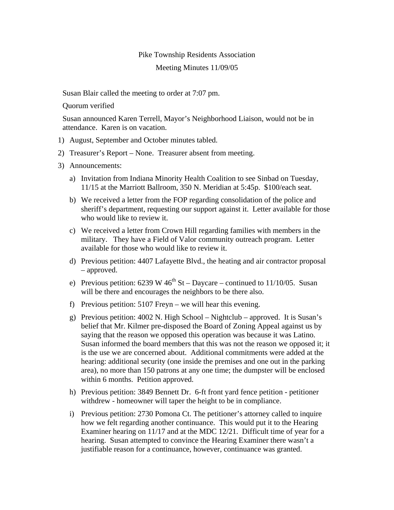## Pike Township Residents Association

## Meeting Minutes 11/09/05

Susan Blair called the meeting to order at 7:07 pm.

Quorum verified

Susan announced Karen Terrell, Mayor's Neighborhood Liaison, would not be in attendance. Karen is on vacation.

- 1) August, September and October minutes tabled.
- 2) Treasurer's Report None. Treasurer absent from meeting.
- 3) Announcements:
	- a) Invitation from Indiana Minority Health Coalition to see Sinbad on Tuesday, 11/15 at the Marriott Ballroom, 350 N. Meridian at 5:45p. \$100/each seat.
	- b) We received a letter from the FOP regarding consolidation of the police and sheriff's department, requesting our support against it. Letter available for those who would like to review it.
	- c) We received a letter from Crown Hill regarding families with members in the military. They have a Field of Valor community outreach program. Letter available for those who would like to review it.
	- d) Previous petition: 4407 Lafayette Blvd., the heating and air contractor proposal – approved.
	- e) Previous petition:  $6239 \text{ W } 46^{\text{th}}$  St Daycare continued to 11/10/05. Susan will be there and encourages the neighbors to be there also.
	- f) Previous petition: 5107 Freyn we will hear this evening.
	- g) Previous petition: 4002 N. High School Nightclub approved. It is Susan's belief that Mr. Kilmer pre-disposed the Board of Zoning Appeal against us by saying that the reason we opposed this operation was because it was Latino. Susan informed the board members that this was not the reason we opposed it; it is the use we are concerned about. Additional commitments were added at the hearing: additional security (one inside the premises and one out in the parking area), no more than 150 patrons at any one time; the dumpster will be enclosed within 6 months. Petition approved.
	- h) Previous petition: 3849 Bennett Dr. 6-ft front yard fence petition petitioner withdrew - homeowner will taper the height to be in compliance.
	- i) Previous petition: 2730 Pomona Ct. The petitioner's attorney called to inquire how we felt regarding another continuance. This would put it to the Hearing Examiner hearing on 11/17 and at the MDC 12/21. Difficult time of year for a hearing. Susan attempted to convince the Hearing Examiner there wasn't a justifiable reason for a continuance, however, continuance was granted.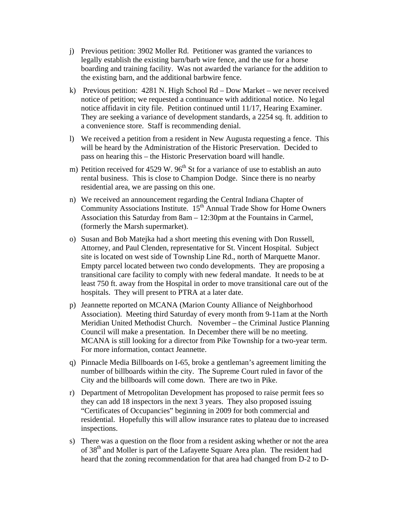- j) Previous petition: 3902 Moller Rd. Petitioner was granted the variances to legally establish the existing barn/barb wire fence, and the use for a horse boarding and training facility. Was not awarded the variance for the addition to the existing barn, and the additional barbwire fence.
- k) Previous petition: 4281 N. High School Rd Dow Market we never received notice of petition; we requested a continuance with additional notice. No legal notice affidavit in city file. Petition continued until 11/17, Hearing Examiner. They are seeking a variance of development standards, a 2254 sq. ft. addition to a convenience store. Staff is recommending denial.
- l) We received a petition from a resident in New Augusta requesting a fence. This will be heard by the Administration of the Historic Preservation. Decided to pass on hearing this – the Historic Preservation board will handle.
- m) Petition received for 4529 W.  $96<sup>th</sup>$  St for a variance of use to establish an auto rental business. This is close to Champion Dodge. Since there is no nearby residential area, we are passing on this one.
- n) We received an announcement regarding the Central Indiana Chapter of Community Associations Institute. 15<sup>th</sup> Annual Trade Show for Home Owners Association this Saturday from 8am – 12:30pm at the Fountains in Carmel, (formerly the Marsh supermarket).
- o) Susan and Bob Matejka had a short meeting this evening with Don Russell, Attorney, and Paul Clenden, representative for St. Vincent Hospital. Subject site is located on west side of Township Line Rd., north of Marquette Manor. Empty parcel located between two condo developments. They are proposing a transitional care facility to comply with new federal mandate. It needs to be at least 750 ft. away from the Hospital in order to move transitional care out of the hospitals. They will present to PTRA at a later date.
- p) Jeannette reported on MCANA (Marion County Alliance of Neighborhood Association). Meeting third Saturday of every month from 9-11am at the North Meridian United Methodist Church. November – the Criminal Justice Planning Council will make a presentation. In December there will be no meeting. MCANA is still looking for a director from Pike Township for a two-year term. For more information, contact Jeannette.
- q) Pinnacle Media Billboards on I-65, broke a gentleman's agreement limiting the number of billboards within the city. The Supreme Court ruled in favor of the City and the billboards will come down. There are two in Pike.
- r) Department of Metropolitan Development has proposed to raise permit fees so they can add 18 inspectors in the next 3 years. They also proposed issuing "Certificates of Occupancies" beginning in 2009 for both commercial and residential. Hopefully this will allow insurance rates to plateau due to increased inspections.
- s) There was a question on the floor from a resident asking whether or not the area of 38<sup>th</sup> and Moller is part of the Lafayette Square Area plan. The resident had heard that the zoning recommendation for that area had changed from D-2 to D-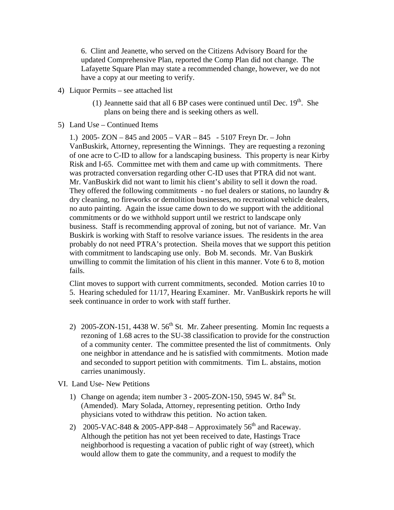6. Clint and Jeanette, who served on the Citizens Advisory Board for the updated Comprehensive Plan, reported the Comp Plan did not change. The Lafayette Square Plan may state a recommended change, however, we do not have a copy at our meeting to verify.

- 4) Liquor Permits see attached list
	- (1) Jeannette said that all 6 BP cases were continued until Dec.  $19<sup>th</sup>$ . She plans on being there and is seeking others as well.
- 5) Land Use Continued Items

1.) 2005- ZON – 845 and 2005 – VAR – 845 - 5107 Freyn Dr. – John VanBuskirk, Attorney, representing the Winnings. They are requesting a rezoning of one acre to C-ID to allow for a landscaping business. This property is near Kirby Risk and I-65. Committee met with them and came up with commitments. There was protracted conversation regarding other C-ID uses that PTRA did not want. Mr. VanBuskirk did not want to limit his client's ability to sell it down the road. They offered the following commitments - no fuel dealers or stations, no laundry  $\&$ dry cleaning, no fireworks or demolition businesses, no recreational vehicle dealers, no auto painting. Again the issue came down to do we support with the additional commitments or do we withhold support until we restrict to landscape only business. Staff is recommending approval of zoning, but not of variance. Mr. Van Buskirk is working with Staff to resolve variance issues. The residents in the area probably do not need PTRA's protection. Sheila moves that we support this petition with commitment to landscaping use only. Bob M. seconds. Mr. Van Buskirk unwilling to commit the limitation of his client in this manner. Vote 6 to 8, motion fails.

Clint moves to support with current commitments, seconded. Motion carries 10 to 5. Hearing scheduled for 11/17, Hearing Examiner. Mr. VanBuskirk reports he will seek continuance in order to work with staff further.

- 2) 2005-ZON-151, 4438 W.  $56<sup>th</sup>$  St. Mr. Zaheer presenting. Momin Inc requests a rezoning of 1.68 acres to the SU-38 classification to provide for the construction of a community center. The committee presented the list of commitments. Only one neighbor in attendance and he is satisfied with commitments. Motion made and seconded to support petition with commitments. Tim L. abstains, motion carries unanimously.
- VI. Land Use- New Petitions
	- 1) Change on agenda; item number  $3 2005$ -ZON-150, 5945 W.  $84<sup>th</sup>$  St. (Amended). Mary Solada, Attorney, representing petition. Ortho Indy physicians voted to withdraw this petition. No action taken.
	- 2) 2005-VAC-848  $& 2005$ -APP-848 Approximately  $56<sup>th</sup>$  and Raceway. Although the petition has not yet been received to date, Hastings Trace neighborhood is requesting a vacation of public right of way (street), which would allow them to gate the community, and a request to modify the